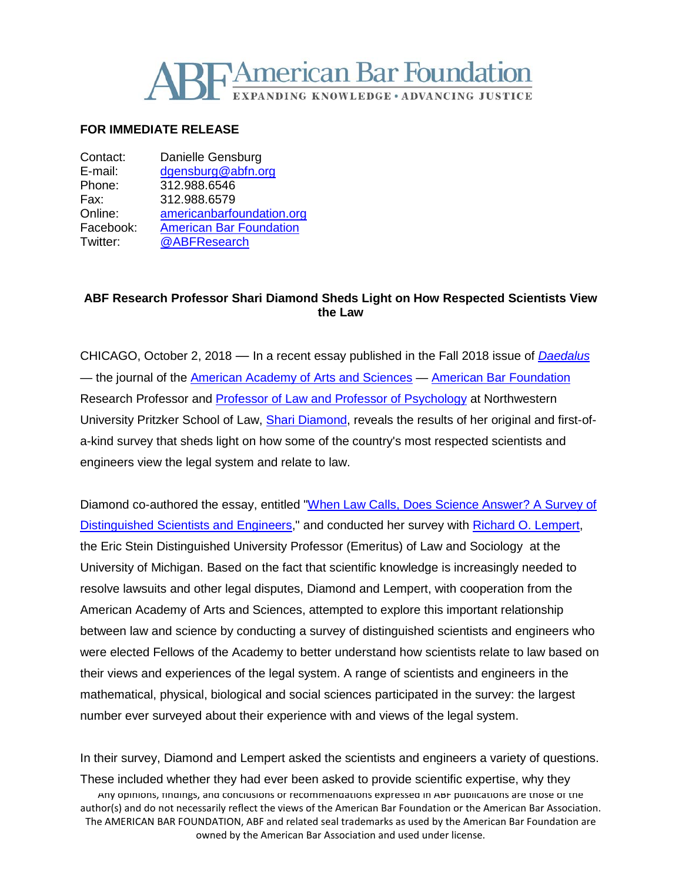

## **FOR IMMEDIATE RELEASE**

| Contact:  | Danielle Gensburg              |
|-----------|--------------------------------|
| E-mail:   | dgensburg@abfn.org             |
| Phone:    | 312.988.6546                   |
| Fax:      | 312.988.6579                   |
| Online:   | americanbarfoundation.org      |
| Facebook: | <b>American Bar Foundation</b> |
| Twitter:  | @ABFResearch                   |
|           |                                |

## **ABF Research Professor Shari Diamond Sheds Light on How Respected Scientists View the Law**

CHICAGO, October 2, 2018 — In a recent essay published in the Fall 2018 issue of *[Daedalus](https://www.amacad.org/content/publications/publicationListing.aspx?i=135)* — the journal of the [American Academy of Arts and Sciences](https://www.amacad.org/) — [American Bar Foundation](http://www.americanbarfoundation.org/index.html) Research Professor and [Professor of Law and Professor of Psychology](http://www.law.northwestern.edu/faculty/profiles/ShariDiamond/) at Northwestern University Pritzker School of Law, [Shari Diamond,](http://www.americanbarfoundation.org/faculty/profile/6) reveals the results of her original and first-ofa-kind survey that sheds light on how some of the country's most respected scientists and engineers view the legal system and relate to law.

Diamond co-authored the essay, entitled ["When Law Calls, Does Science Answer? A Survey of](https://www.mitpressjournals.org/doi/full/10.1162/daed_a_00519)  [Distinguished Scientists and Engineers,](https://www.mitpressjournals.org/doi/full/10.1162/daed_a_00519)" and conducted her survey with [Richard O. Lempert,](https://www.law.umich.edu/FacultyBio/Pages/FacultyBio.aspx?FacID=rlempert) the Eric Stein Distinguished University Professor (Emeritus) of Law and Sociology at the University of Michigan. Based on the fact that scientific knowledge is increasingly needed to resolve lawsuits and other legal disputes, Diamond and Lempert, with cooperation from the American Academy of Arts and Sciences, attempted to explore this important relationship between law and science by conducting a survey of distinguished scientists and engineers who were elected Fellows of the Academy to better understand how scientists relate to law based on their views and experiences of the legal system. A range of scientists and engineers in the mathematical, physical, biological and social sciences participated in the survey: the largest number ever surveyed about their experience with and views of the legal system.

Any opinions, findings, and conclusions or recommendations expressed in ABF publications are those of the author(s) and do not necessarily reflect the views of the American Bar Foundation or the American Bar Association. The AMERICAN BAR FOUNDATION, ABF and related seal trademarks as used by the American Bar Foundation are owned by the American Bar Association and used under license. In their survey, Diamond and Lempert asked the scientists and engineers a variety of questions. These included whether they had ever been asked to provide scientific expertise, why they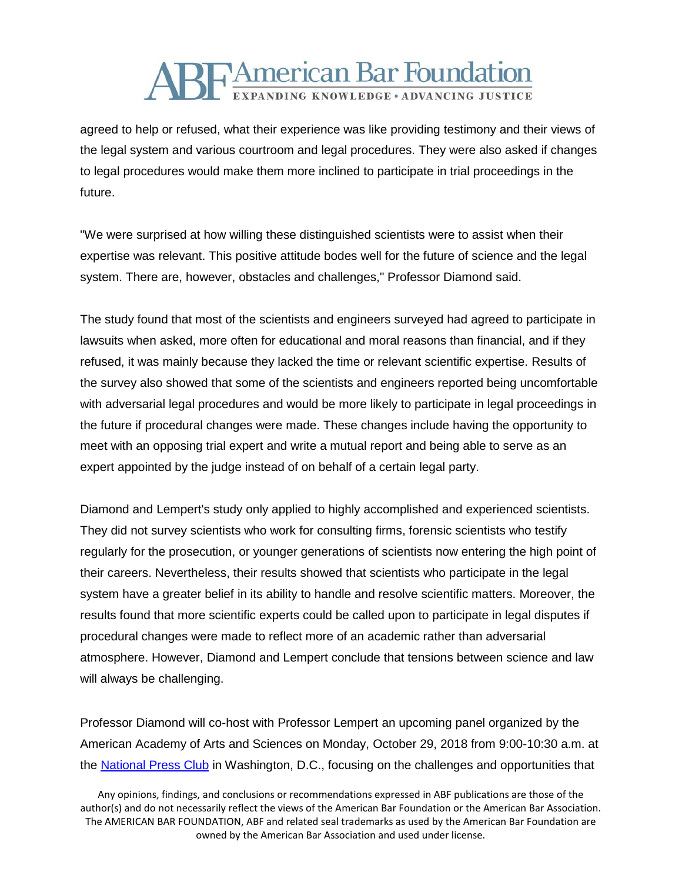## **ABFAmerican Bar Foundation** EXPANDING KNOWLEDGE · ADVANCING JUSTICE

agreed to help or refused, what their experience was like providing testimony and their views of the legal system and various courtroom and legal procedures. They were also asked if changes to legal procedures would make them more inclined to participate in trial proceedings in the future.

"We were surprised at how willing these distinguished scientists were to assist when their expertise was relevant. This positive attitude bodes well for the future of science and the legal system. There are, however, obstacles and challenges," Professor Diamond said.

The study found that most of the scientists and engineers surveyed had agreed to participate in lawsuits when asked, more often for educational and moral reasons than financial, and if they refused, it was mainly because they lacked the time or relevant scientific expertise. Results of the survey also showed that some of the scientists and engineers reported being uncomfortable with adversarial legal procedures and would be more likely to participate in legal proceedings in the future if procedural changes were made. These changes include having the opportunity to meet with an opposing trial expert and write a mutual report and being able to serve as an expert appointed by the judge instead of on behalf of a certain legal party.

Diamond and Lempert's study only applied to highly accomplished and experienced scientists. They did not survey scientists who work for consulting firms, forensic scientists who testify regularly for the prosecution, or younger generations of scientists now entering the high point of their careers. Nevertheless, their results showed that scientists who participate in the legal system have a greater belief in its ability to handle and resolve scientific matters. Moreover, the results found that more scientific experts could be called upon to participate in legal disputes if procedural changes were made to reflect more of an academic rather than adversarial atmosphere. However, Diamond and Lempert conclude that tensions between science and law will always be challenging.

Professor Diamond will co-host with Professor Lempert an upcoming panel organized by the American Academy of Arts and Sciences on Monday, October 29, 2018 from 9:00-10:30 a.m. at the **National Press Club** in Washington, D.C., focusing on the challenges and opportunities that

Any opinions, findings, and conclusions or recommendations expressed in ABF publications are those of the author(s) and do not necessarily reflect the views of the American Bar Foundation or the American Bar Association. The AMERICAN BAR FOUNDATION, ABF and related seal trademarks as used by the American Bar Foundation are owned by the American Bar Association and used under license.